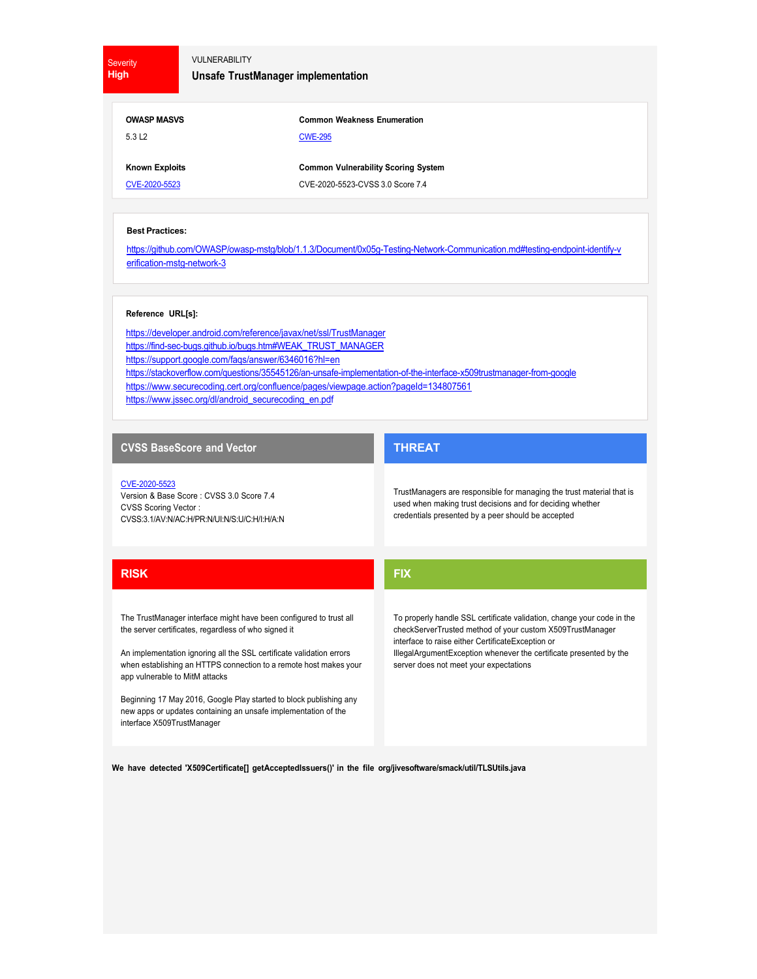**Severity High**

## VULNERABILITY

**Unsafe TrustManager implementation**

| <b>OWASP MASVS</b> |  |
|--------------------|--|
| 5.3 L <sub>2</sub> |  |

**Common Weakness Enumeration** CWE-295

**Known Exploits** CVE-2020-5523

**Common Vulnerability Scoring System** CVE-2020-5523-CVSS 3.0 Score 7.4

#### **Best Practices:**

https://github.com/OWASP/owasp-mstg/blob/1.1.3/Document/0x05g-Testing-Network-Communication.md#testing-endpoint-identify-v erification-mstg-network-3

#### **Reference URL[s]:**

https://developer.android.com/reference/javax/net/ssl/TrustManager https://find-sec-bugs.github.io/bugs.htm#WEAK\_TRUST\_MANAGER https://support.google.com/faqs/answer/6346016?hl=en https://stackoverflow.com/questions/35545126/an-unsafe-implementation-of-the-interface-x509trustmanager-from-google https://www.securecoding.cert.org/confluence/pages/viewpage.action?pageId=134807561 https://www.jssec.org/dl/android\_securecoding\_en.pdf

## **CVSS BaseScore and Vector**

CVE-2020-5523 Version & Base Score : CVSS 3.0 Score 7.4 CVSS Scoring Vector : CVSS:3.1/AV:N/AC:H/PR:N/UI:N/S:U/C:H/I:H/A:N

# **THREAT**

TrustManagers are responsible for managing the trust material that is used when making trust decisions and for deciding whether credentials presented by a peer should be accepted

# **RISK**

The TrustManager interface might have been configured to trust all the server certificates, regardless of who signed it

An implementation ignoring all the SSL certificate validation errors when establishing an HTTPS connection to a remote host makes your app vulnerable to MitM attacks

Beginning 17 May 2016, Google Play started to block publishing any new apps or updates containing an unsafe implementation of the interface X509TrustManager

**FIX**

To properly handle SSL certificate validation, change your code in the checkServerTrusted method of your custom X509TrustManager interface to raise either CertificateException or IllegalArgumentException whenever the certificate presented by the server does not meet your expectations

**We have detected 'X509Certificate[] getAcceptedIssuers()' in the file org/jivesoftware/smack/util/TLSUtils.java**